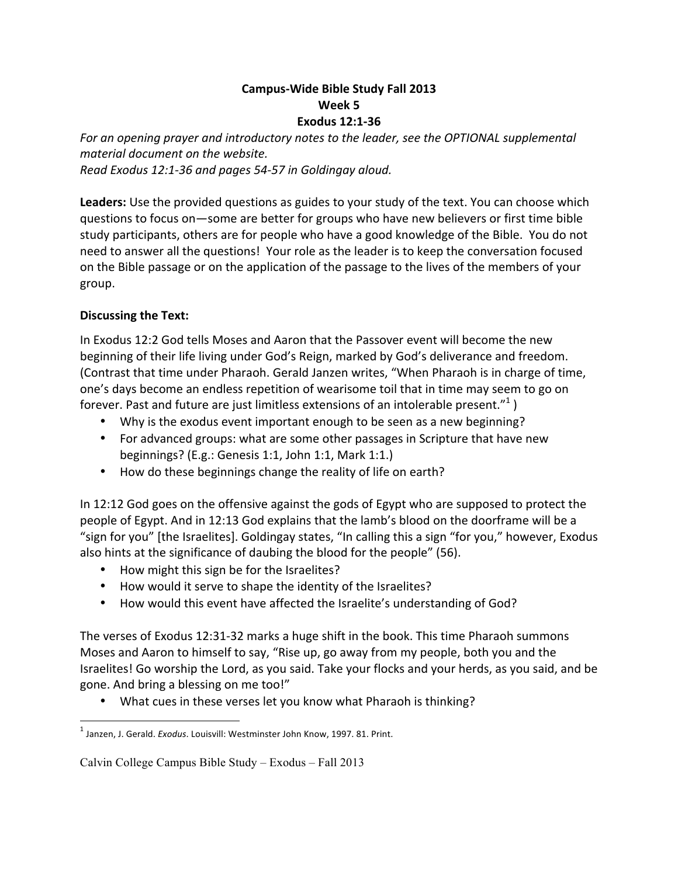## **Campus-Wide Bible Study Fall 2013 Week 5 Exodus 12:1-36**

For an opening prayer and introductory notes to the leader, see the OPTIONAL supplemental *material document on the website. Read Exodus 12:1-36 and pages 54-57 in Goldingay aloud.*

**Leaders:** Use the provided questions as guides to your study of the text. You can choose which questions to focus on-some are better for groups who have new believers or first time bible study participants, others are for people who have a good knowledge of the Bible. You do not need to answer all the questions! Your role as the leader is to keep the conversation focused on the Bible passage or on the application of the passage to the lives of the members of your group.

## **Discussing the Text:**

In Exodus 12:2 God tells Moses and Aaron that the Passover event will become the new beginning of their life living under God's Reign, marked by God's deliverance and freedom. (Contrast that time under Pharaoh. Gerald Janzen writes, "When Pharaoh is in charge of time, one's days become an endless repetition of wearisome toil that in time may seem to go on forever. Past and future are just limitless extensions of an intolerable present."<sup>1</sup>)

- Why is the exodus event important enough to be seen as a new beginning?
- For advanced groups: what are some other passages in Scripture that have new beginnings? (E.g.: Genesis 1:1, John 1:1, Mark 1:1.)
- How do these beginnings change the reality of life on earth?

In 12:12 God goes on the offensive against the gods of Egypt who are supposed to protect the people of Egypt. And in 12:13 God explains that the lamb's blood on the doorframe will be a "sign for you" [the Israelites]. Goldingay states, "In calling this a sign "for you," however, Exodus also hints at the significance of daubing the blood for the people" (56).

- How might this sign be for the Israelites?
- How would it serve to shape the identity of the Israelites?
- How would this event have affected the Israelite's understanding of God?

The verses of Exodus 12:31-32 marks a huge shift in the book. This time Pharaoh summons Moses and Aaron to himself to say, "Rise up, go away from my people, both you and the Israelites! Go worship the Lord, as you said. Take your flocks and your herds, as you said, and be gone. And bring a blessing on me too!"

• What cues in these verses let you know what Pharaoh is thinking?

 

<sup>&</sup>lt;sup>1</sup> Janzen, J. Gerald. *Exodus*. Louisvill: Westminster John Know, 1997. 81. Print.

Calvin College Campus Bible Study – Exodus – Fall 2013